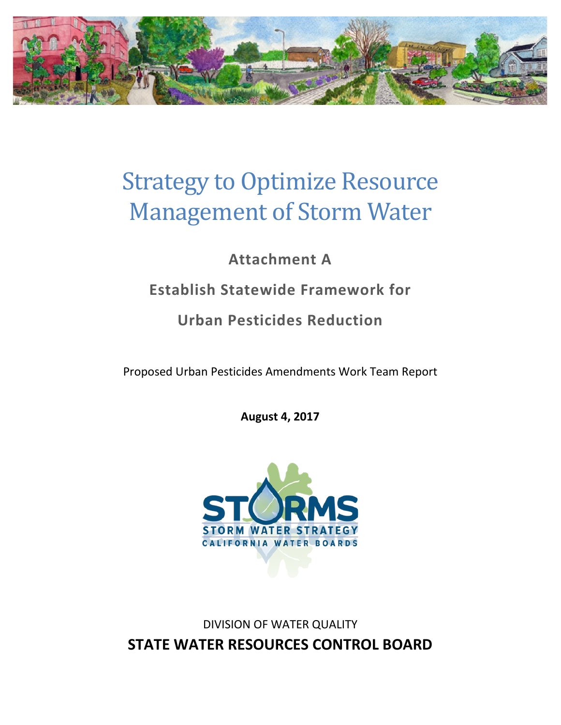

# Strategy to Optimize Resource Management of Storm Water

## **Attachment A**

## **Establish Statewide Framework for**

### **Urban Pesticides Reduction**

Proposed Urban Pesticides Amendments Work Team Report

**August 4, 2017**



DIVISION OF WATER QUALITY **STATE WATER RESOURCES CONTROL BOARD**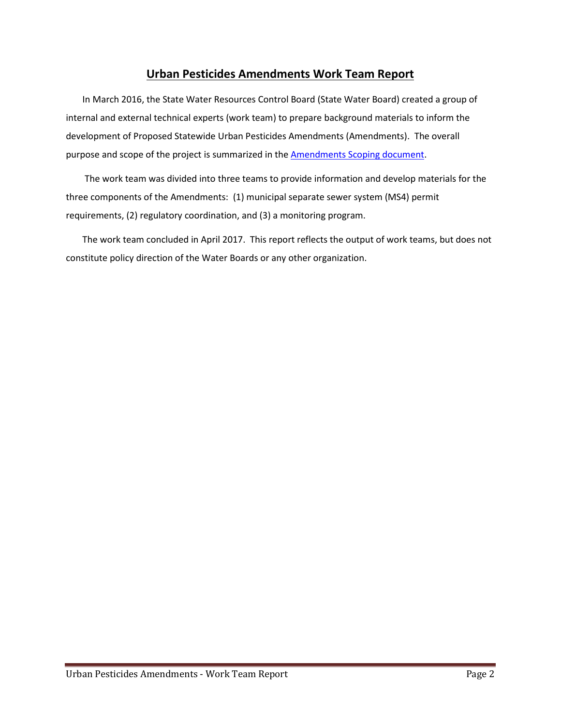#### **Urban Pesticides Amendments Work Team Report**

In March 2016, the State Water Resources Control Board (State Water Board) created a group of internal and external technical experts (work team) to prepare background materials to inform the development of Proposed Statewide Urban Pesticides Amendments (Amendments). The overall purpose and scope of the project is summarized in the [Amendments Scoping document.](mailto:https://www.waterboards.ca.gov/water_issues/programs/stormwater/storms/docs/ceqa_scoping_document_urban_pesticides.pdf)

The work team was divided into three teams to provide information and develop materials for the three components of the Amendments: (1) municipal separate sewer system (MS4) permit requirements, (2) regulatory coordination, and (3) a monitoring program.

The work team concluded in April 2017. This report reflects the output of work teams, but does not constitute policy direction of the Water Boards or any other organization.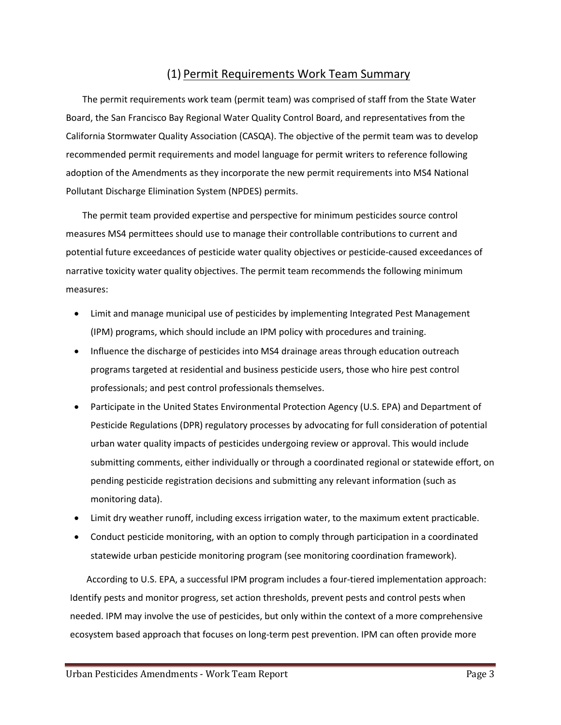#### (1) Permit Requirements Work Team Summary

The permit requirements work team (permit team) was comprised of staff from the State Water Board, the San Francisco Bay Regional Water Quality Control Board, and representatives from the California Stormwater Quality Association (CASQA). The objective of the permit team was to develop recommended permit requirements and model language for permit writers to reference following adoption of the Amendments as they incorporate the new permit requirements into MS4 National Pollutant Discharge Elimination System (NPDES) permits.

The permit team provided expertise and perspective for minimum pesticides source control measures MS4 permittees should use to manage their controllable contributions to current and potential future exceedances of pesticide water quality objectives or pesticide-caused exceedances of narrative toxicity water quality objectives. The permit team recommends the following minimum measures:

- Limit and manage municipal use of pesticides by implementing Integrated Pest Management (IPM) programs, which should include an IPM policy with procedures and training.
- Influence the discharge of pesticides into MS4 drainage areas through education outreach programs targeted at residential and business pesticide users, those who hire pest control professionals; and pest control professionals themselves.
- Participate in the United States Environmental Protection Agency (U.S. EPA) and Department of Pesticide Regulations (DPR) regulatory processes by advocating for full consideration of potential urban water quality impacts of pesticides undergoing review or approval. This would include submitting comments, either individually or through a coordinated regional or statewide effort, on pending pesticide registration decisions and submitting any relevant information (such as monitoring data).
- Limit dry weather runoff, including excess irrigation water, to the maximum extent practicable.
- Conduct pesticide monitoring, with an option to comply through participation in a coordinated statewide urban pesticide monitoring program (see monitoring coordination framework).

According to U.S. EPA, a successful IPM program includes a four-tiered implementation approach: [Identify pests and monitor progress,](https://www.epa.gov/managing-pests-schools/introduction-integrated-pest-management#identify) [set action thresholds,](https://www.epa.gov/managing-pests-schools/introduction-integrated-pest-management#action) [prevent](https://www.epa.gov/managing-pests-schools/introduction-integrated-pest-management#prevent) pests an[d control](https://www.epa.gov/managing-pests-schools/introduction-integrated-pest-management#control) pests when needed. IPM may involve the use of pesticides, but only within the context of a more comprehensive ecosystem based approach that focuses on long-term pest prevention. IPM can often provide more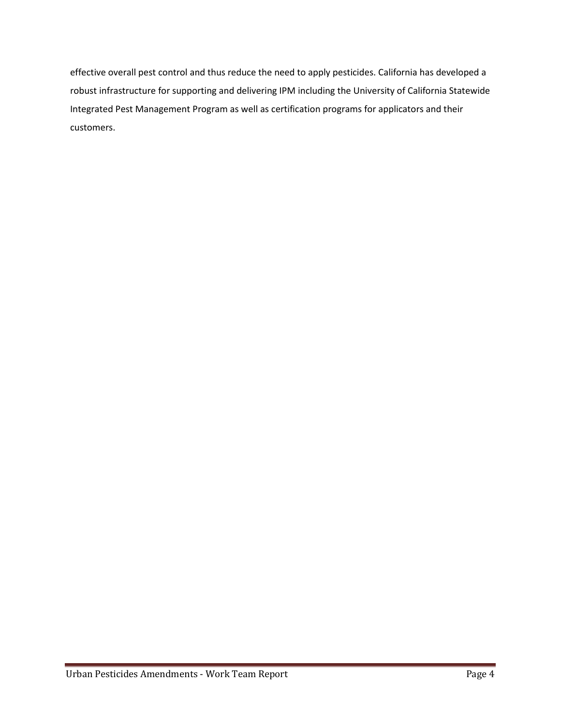effective overall pest control and thus reduce the need to apply pesticides. California has developed a robust infrastructure for supporting and delivering IPM including the University of California Statewide Integrated Pest Management Program as well as certification programs for applicators and their customers.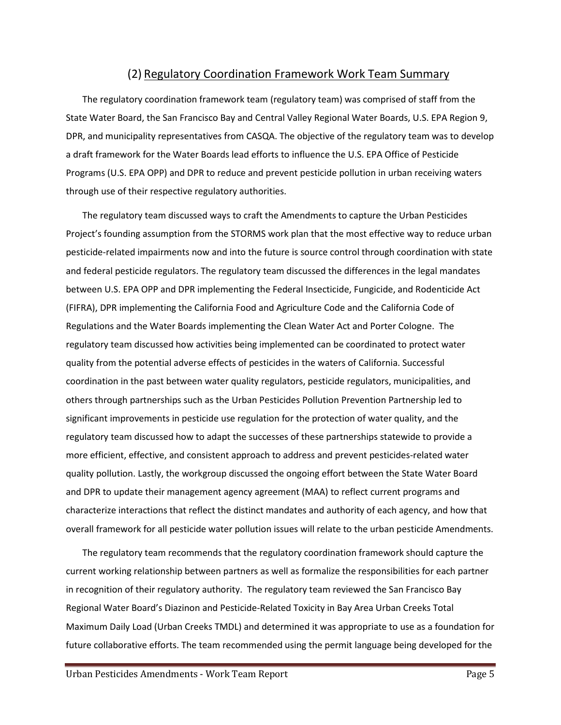#### (2) Regulatory Coordination Framework Work Team Summary

The regulatory coordination framework team (regulatory team) was comprised of staff from the State Water Board, the San Francisco Bay and Central Valley Regional Water Boards, U.S. EPA Region 9, DPR, and municipality representatives from CASQA. The objective of the regulatory team was to develop a draft framework for the Water Boards lead efforts to influence the U.S. EPA Office of Pesticide Programs (U.S. EPA OPP) and DPR to reduce and prevent pesticide pollution in urban receiving waters through use of their respective regulatory authorities.

The regulatory team discussed ways to craft the Amendments to capture the Urban Pesticides Project's founding assumption from the STORMS work plan that the most effective way to reduce urban pesticide-related impairments now and into the future is source control through coordination with state and federal pesticide regulators. The regulatory team discussed the differences in the legal mandates between U.S. EPA OPP and DPR implementing the Federal Insecticide, Fungicide, and Rodenticide Act (FIFRA), DPR implementing the California Food and Agriculture Code and the California Code of Regulations and the Water Boards implementing the Clean Water Act and Porter Cologne. The regulatory team discussed how activities being implemented can be coordinated to protect water quality from the potential adverse effects of pesticides in the waters of California. Successful coordination in the past between water quality regulators, pesticide regulators, municipalities, and others through partnerships such as the Urban Pesticides Pollution Prevention Partnership led to significant improvements in pesticide use regulation for the protection of water quality, and the regulatory team discussed how to adapt the successes of these partnerships statewide to provide a more efficient, effective, and consistent approach to address and prevent pesticides-related water quality pollution. Lastly, the workgroup discussed the ongoing effort between the State Water Board and DPR to update their management agency agreement (MAA) to reflect current programs and characterize interactions that reflect the distinct mandates and authority of each agency, and how that overall framework for all pesticide water pollution issues will relate to the urban pesticide Amendments.

The regulatory team recommends that the regulatory coordination framework should capture the current working relationship between partners as well as formalize the responsibilities for each partner in recognition of their regulatory authority. The regulatory team reviewed the San Francisco Bay Regional Water Board's Diazinon and Pesticide-Related Toxicity in Bay Area Urban Creeks Total Maximum Daily Load (Urban Creeks TMDL) and determined it was appropriate to use as a foundation for future collaborative efforts. The team recommended using the permit language being developed for the

Urban Pesticides Amendments - Work Team Report **Page 1 American Page 5** Page 5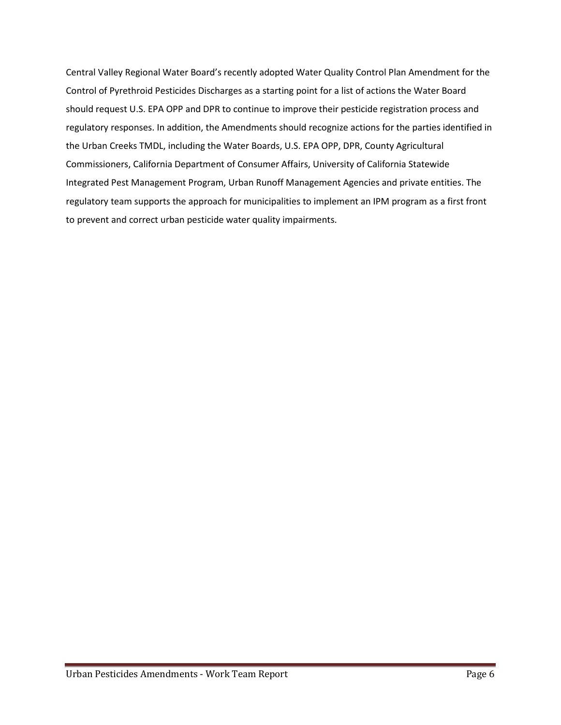Central Valley Regional Water Board's recently adopted Water Quality Control Plan Amendment for the Control of Pyrethroid Pesticides Discharges as a starting point for a list of actions the Water Board should request U.S. EPA OPP and DPR to continue to improve their pesticide registration process and regulatory responses. In addition, the Amendments should recognize actions for the parties identified in the Urban Creeks TMDL, including the Water Boards, U.S. EPA OPP, DPR, County Agricultural Commissioners, California Department of Consumer Affairs, University of California Statewide Integrated Pest Management Program, Urban Runoff Management Agencies and private entities. The regulatory team supports the approach for municipalities to implement an IPM program as a first front to prevent and correct urban pesticide water quality impairments.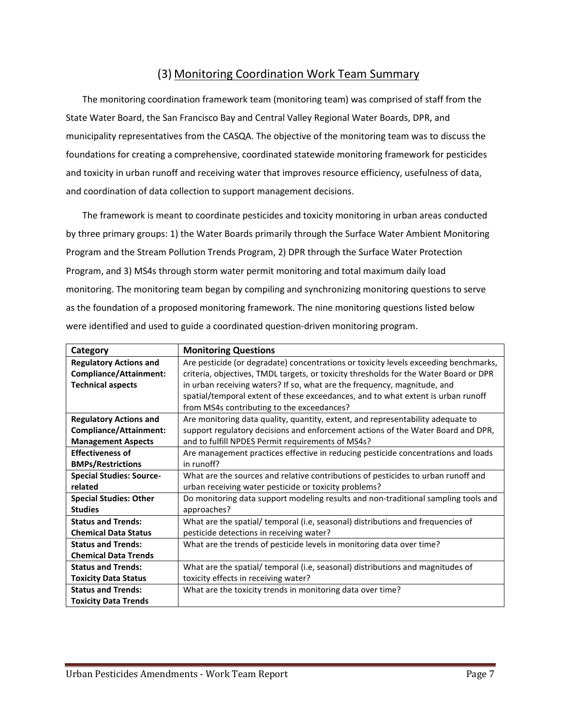### (3) Monitoring Coordination Work Team Summary

The monitoring coordination framework team (monitoring team) was comprised of staff from the State Water Board, the San Francisco Bay and Central Valley Regional Water Boards, DPR, and municipality representatives from the CASQA. The objective of the monitoring team was to discuss the foundations for creating a comprehensive, coordinated statewide monitoring framework for pesticides and toxicity in urban runoff and receiving water that improves resource efficiency, usefulness of data, and coordination of data collection to support management decisions.

The framework is meant to coordinate pesticides and toxicity monitoring in urban areas conducted by three primary groups: 1) the Water Boards primarily through the Surface Water Ambient Monitoring Program and the Stream Pollution Trends Program, 2) DPR through the Surface Water Protection Program, and 3) MS4s through storm water permit monitoring and total maximum daily load monitoring. The monitoring team began by compiling and synchronizing monitoring questions to serve as the foundation of a proposed monitoring framework. The nine monitoring questions listed below were identified and used to guide a coordinated question-driven monitoring program.

| Category                        | <b>Monitoring Questions</b>                                                           |
|---------------------------------|---------------------------------------------------------------------------------------|
| <b>Regulatory Actions and</b>   | Are pesticide (or degradate) concentrations or toxicity levels exceeding benchmarks,  |
| Compliance/Attainment:          | criteria, objectives, TMDL targets, or toxicity thresholds for the Water Board or DPR |
| <b>Technical aspects</b>        | in urban receiving waters? If so, what are the frequency, magnitude, and              |
|                                 | spatial/temporal extent of these exceedances, and to what extent is urban runoff      |
|                                 | from MS4s contributing to the exceedances?                                            |
| <b>Regulatory Actions and</b>   | Are monitoring data quality, quantity, extent, and representability adequate to       |
| Compliance/Attainment:          | support regulatory decisions and enforcement actions of the Water Board and DPR,      |
| <b>Management Aspects</b>       | and to fulfill NPDES Permit requirements of MS4s?                                     |
| <b>Effectiveness of</b>         | Are management practices effective in reducing pesticide concentrations and loads     |
| <b>BMPs/Restrictions</b>        | in runoff?                                                                            |
| <b>Special Studies: Source-</b> | What are the sources and relative contributions of pesticides to urban runoff and     |
| related                         | urban receiving water pesticide or toxicity problems?                                 |
| <b>Special Studies: Other</b>   | Do monitoring data support modeling results and non-traditional sampling tools and    |
| <b>Studies</b>                  | approaches?                                                                           |
| <b>Status and Trends:</b>       | What are the spatial/ temporal (i.e, seasonal) distributions and frequencies of       |
| <b>Chemical Data Status</b>     | pesticide detections in receiving water?                                              |
| <b>Status and Trends:</b>       | What are the trends of pesticide levels in monitoring data over time?                 |
| <b>Chemical Data Trends</b>     |                                                                                       |
| <b>Status and Trends:</b>       | What are the spatial/ temporal (i.e, seasonal) distributions and magnitudes of        |
| <b>Toxicity Data Status</b>     | toxicity effects in receiving water?                                                  |
| <b>Status and Trends:</b>       | What are the toxicity trends in monitoring data over time?                            |
| <b>Toxicity Data Trends</b>     |                                                                                       |